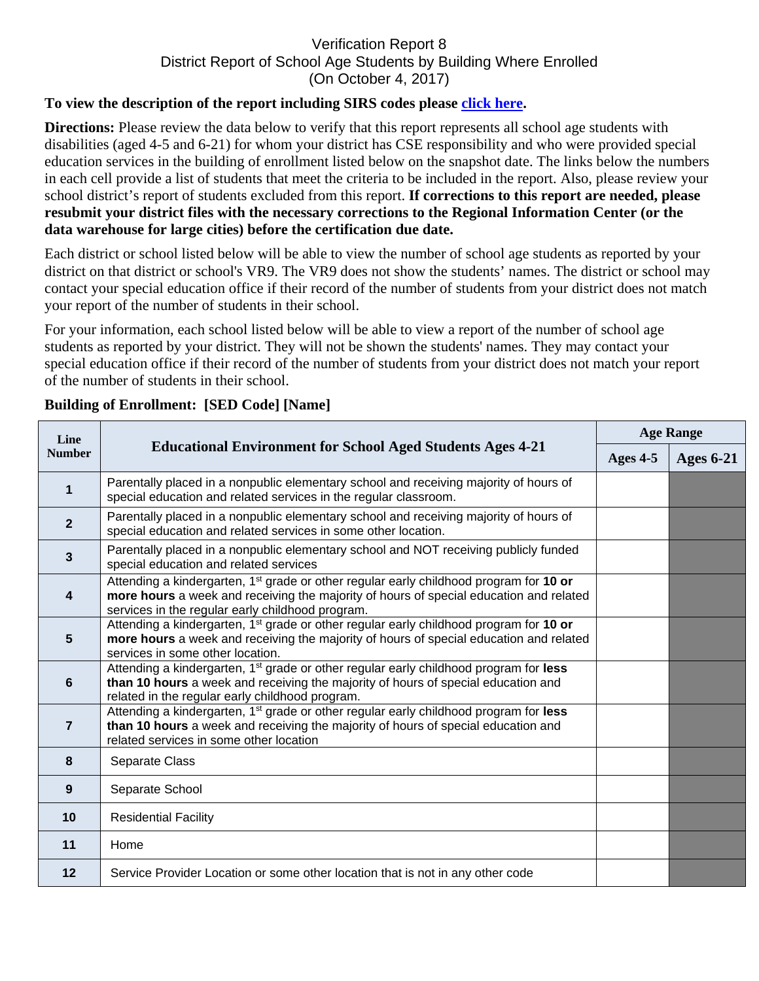## Verification Report 8 District Report of School Age Students by Building Where Enrolled (On October 4, 2017)

## **To view the description of the report including SIRS codes please click here.**

**Directions:** Please review the data below to verify that this report represents all school age students with disabilities (aged 4-5 and 6-21) for whom your district has CSE responsibility and who were provided special education services in the building of enrollment listed below on the snapshot date. The links below the numbers in each cell provide a list of students that meet the criteria to be included in the report. Also, please review your school district's report of students excluded from this report. **If corrections to this report are needed, please resubmit your district files with the necessary corrections to the Regional Information Center (or the data warehouse for large cities) before the certification due date.** 

Each district or school listed below will be able to view the number of school age students as reported by your district on that district or school's VR9. The VR9 does not show the students' names. The district or school may contact your special education office if their record of the number of students from your district does not match your report of the number of students in their school.

For your information, each school listed below will be able to view a report of the number of school age students as reported by your district. They will not be shown the students' names. They may contact your special education office if their record of the number of students from your district does not match your report of the number of students in their school.

| Line<br><b>Number</b>   | <b>Educational Environment for School Aged Students Ages 4-21</b>                                                                                                                                                                                | <b>Age Range</b> |                  |
|-------------------------|--------------------------------------------------------------------------------------------------------------------------------------------------------------------------------------------------------------------------------------------------|------------------|------------------|
|                         |                                                                                                                                                                                                                                                  | Ages 4-5         | <b>Ages 6-21</b> |
| $\mathbf 1$             | Parentally placed in a nonpublic elementary school and receiving majority of hours of<br>special education and related services in the regular classroom.                                                                                        |                  |                  |
| $\overline{2}$          | Parentally placed in a nonpublic elementary school and receiving majority of hours of<br>special education and related services in some other location.                                                                                          |                  |                  |
| $\overline{3}$          | Parentally placed in a nonpublic elementary school and NOT receiving publicly funded<br>special education and related services                                                                                                                   |                  |                  |
| $\overline{\mathbf{4}}$ | Attending a kindergarten, 1 <sup>st</sup> grade or other regular early childhood program for 10 or<br>more hours a week and receiving the majority of hours of special education and related<br>services in the regular early childhood program. |                  |                  |
| $5\phantom{1}$          | Attending a kindergarten, 1 <sup>st</sup> grade or other regular early childhood program for 10 or<br>more hours a week and receiving the majority of hours of special education and related<br>services in some other location.                 |                  |                  |
| $6\phantom{1}$          | Attending a kindergarten, 1 <sup>st</sup> grade or other regular early childhood program for less<br>than 10 hours a week and receiving the majority of hours of special education and<br>related in the regular early childhood program.        |                  |                  |
| $\overline{7}$          | Attending a kindergarten, 1 <sup>st</sup> grade or other regular early childhood program for less<br>than 10 hours a week and receiving the majority of hours of special education and<br>related services in some other location                |                  |                  |
| 8                       | Separate Class                                                                                                                                                                                                                                   |                  |                  |
| 9                       | Separate School                                                                                                                                                                                                                                  |                  |                  |
| 10                      | <b>Residential Facility</b>                                                                                                                                                                                                                      |                  |                  |
| 11                      | Home                                                                                                                                                                                                                                             |                  |                  |
| 12                      | Service Provider Location or some other location that is not in any other code                                                                                                                                                                   |                  |                  |

## **Building of Enrollment: [SED Code] [Name]**